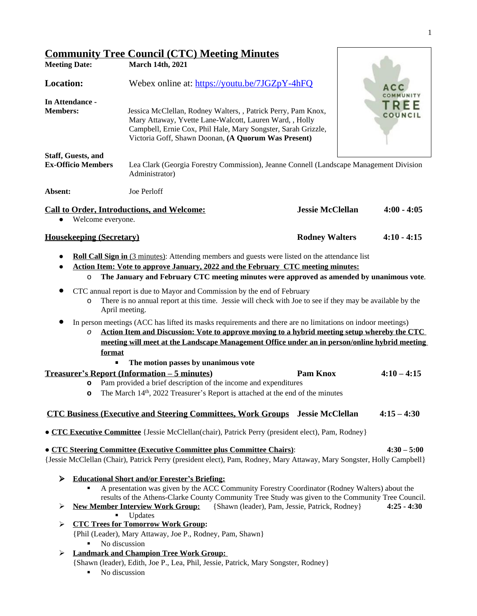|                           | <b>Community Tree Council (CTC) Meeting Minutes</b>                                                                                                                                                                                              |                  |
|---------------------------|--------------------------------------------------------------------------------------------------------------------------------------------------------------------------------------------------------------------------------------------------|------------------|
| <b>Meeting Date:</b>      | <b>March 14th, 2021</b>                                                                                                                                                                                                                          |                  |
| <b>Location:</b>          | Webex online at: https://youtu.be/7JGZpY-4hFQ                                                                                                                                                                                                    | ACC              |
| In Attendance -           |                                                                                                                                                                                                                                                  | COMMUNITY<br>REE |
| <b>Members:</b>           | Jessica McClellan, Rodney Walters, , Patrick Perry, Pam Knox,<br>Mary Attaway, Yvette Lane-Walcott, Lauren Ward, , Holly<br>Campbell, Ernie Cox, Phil Hale, Mary Songster, Sarah Grizzle,<br>Victoria Goff, Shawn Doonan, (A Quorum Was Present) | COUNCIL          |
| <b>Staff, Guests, and</b> |                                                                                                                                                                                                                                                  |                  |
| <b>Ex-Officio Members</b> | Lea Clark (Georgia Forestry Commission), Jeanne Connell (Landscape Management Division<br>Administrator)                                                                                                                                         |                  |

**Absent:** Joe Perloff

| <b>Call to Order, Introductions, and Welcome:</b> | <b>Jessie McClellan</b> | $4:00 - 4:05$ |
|---------------------------------------------------|-------------------------|---------------|
| Welcome everyone.                                 |                         |               |

### **Housekeeping (Secretary) Rodney Walters 4:10 - 4:15**

- **● Roll Call Sign in** (3 minutes): Attending members and guests were listed on the attendance list
- **● Action Item: Vote to approve January, 2022 and the February CTC meeting minutes:**
	- o **The January and February CTC meeting minutes were approved as amended by unanimous vote**.
- CTC annual report is due to Mayor and Commission by the end of February
	- o There is no annual report at this time. Jessie will check with Joe to see if they may be available by the April meeting.
- In person meetings (ACC has lifted its masks requirements and there are no limitations on indoor meetings)
	- *o* **Action Item and Discussion: Vote to approve moving to a hybrid meeting setup whereby the CTC meeting will meet at the Landscape Management Office under an in person/online hybrid meeting format**
		- **The motion passes by unanimous vote**
- **Treasurer's Report (Information – 5 minutes) Pam Knox 4:10 – 4:15**
	- **o** Pam provided a brief description of the income and expenditures
	- **o** The March 14<sup>th</sup>, 2022 Treasurer's Report is attached at the end of the minutes

## **CTC Business (Executive and Steering Committees, Work Groups Jessie McClellan 4:15 – 4:30**

● **CTC Executive Committee** {Jessie McClellan(chair), Patrick Perry (president elect), Pam, Rodney}

## ● **CTC Steering Committee (Executive Committee plus Committee Chairs)**: **4:30 – 5:00**

{Jessie McClellan (Chair), Patrick Perry (president elect), Pam, Rodney, Mary Attaway, Mary Songster, Holly Campbell}

- **Educational Short and/or Forester's Briefing:**
- A presentation was given by the ACC Community Forestry Coordinator (Rodney Walters) about the results of the Athens-Clarke County Community Tree Study was given to the Community Tree Council.<br>New Member Interview Work Group: {Shawn (leader), Pam, Jessie, Patrick, Rodney} 4:25 - 4:30
- **New Member Interview Work Group:** {Shawn (leader), Pam, Jessie, Patrick, Rodney} **4:25 4:30**
	- **Updates**
- **CTC Trees for Tomorrow Work Group:**

{Phil (Leader), Mary Attaway, Joe P., Rodney, Pam, Shawn}

- No discussion
- **Landmark and Champion Tree Work Group:** 
	- {Shawn (leader), Edith, Joe P., Lea, Phil, Jessie, Patrick, Mary Songster, Rodney}
		- No discussion